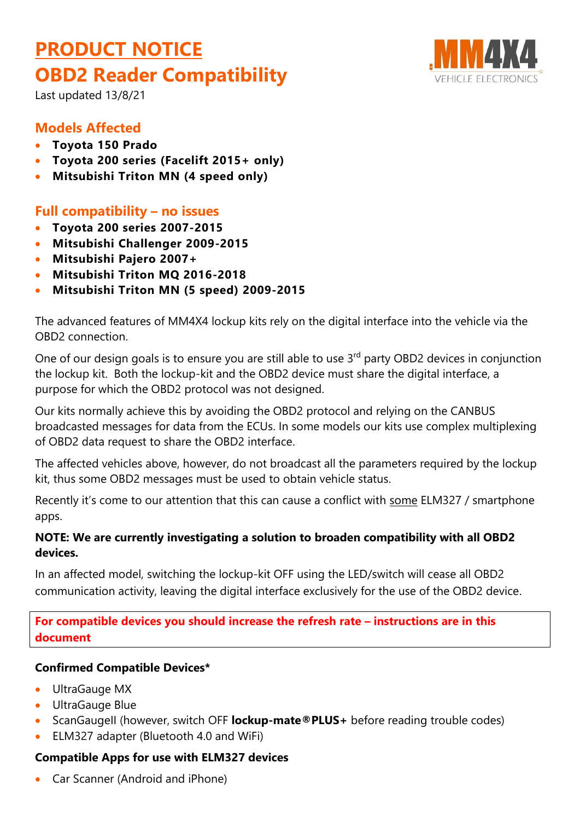# **PRODUCT NOTICE OBD2 Reader Compatibility**



Last updated 13/8/21

# **Models Affected**

- **Toyota 150 Prado**
- **Toyota 200 series (Facelift 2015+ only)**
- **Mitsubishi Triton MN (4 speed only)**

## **Full compatibility – no issues**

- **Toyota 200 series 2007-2015**
- **Mitsubishi Challenger 2009-2015**
- **Mitsubishi Pajero 2007+**
- **Mitsubishi Triton MQ 2016-2018**
- **Mitsubishi Triton MN (5 speed) 2009-2015**

The advanced features of MM4X4 lockup kits rely on the digital interface into the vehicle via the OBD2 connection.

One of our design goals is to ensure you are still able to use 3<sup>rd</sup> party OBD2 devices in conjunction the lockup kit. Both the lockup-kit and the OBD2 device must share the digital interface, a purpose for which the OBD2 protocol was not designed.

Our kits normally achieve this by avoiding the OBD2 protocol and relying on the CANBUS broadcasted messages for data from the ECUs. In some models our kits use complex multiplexing of OBD2 data request to share the OBD2 interface.

The affected vehicles above, however, do not broadcast all the parameters required by the lockup kit, thus some OBD2 messages must be used to obtain vehicle status.

Recently it's come to our attention that this can cause a conflict with some ELM327 / smartphone apps.

### **NOTE: We are currently investigating a solution to broaden compatibility with all OBD2 devices.**

In an affected model, switching the lockup-kit OFF using the LED/switch will cease all OBD2 communication activity, leaving the digital interface exclusively for the use of the OBD2 device.

**For compatible devices you should increase the refresh rate – instructions are in this document**

#### **Confirmed Compatible Devices\***

- UltraGauge MX
- UltraGauge Blue
- ScanGaugell (however, switch OFF **lockup-mate®PLUS**+ before reading trouble codes)
- ELM327 adapter (Bluetooth 4.0 and WiFi)

#### **Compatible Apps for use with ELM327 devices**

• Car Scanner (Android and iPhone)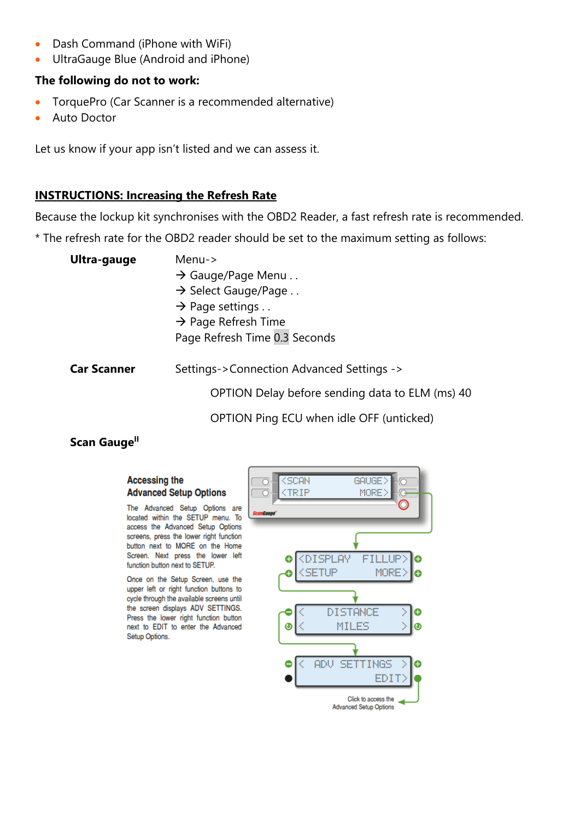- Dash Command (iPhone with WiFi)
- UltraGauge Blue (Android and iPhone)

#### **The following do not to work:**

- TorquePro (Car Scanner is a recommended alternative)
- **Auto Doctor**

Let us know if your app isn't listed and we can assess it.

#### **INSTRUCTIONS: Increasing the Refresh Rate**

Because the lockup kit synchronises with the OBD2 Reader, a fast refresh rate is recommended.

\* The refresh rate for the OBD2 reader should be set to the maximum setting as follows:

| $Menu->$ |  |  |  |
|----------|--|--|--|
|          |  |  |  |
|          |  |  |  |
|          |  |  |  |
|          |  |  |  |
|          |  |  |  |
|          |  |  |  |
|          |  |  |  |

OPTION Delay before sending data to ELM (ms) 40

OPTION Ping ECU when idle OFF (unticked)

#### **Scan Gauge<sup>II</sup>**

#### **Accessing the** <SCAN GAUGE) **Advanced Setup Options CTRIP** MORE) □ The Advanced Setup Options are located within the SETUP menu. To access the Advanced Setup Options screens, press the lower right function button next to MORE on the Home Screen. Next press the lower left Ô <DISPLAY FILLUP) Θ function button next to SETUP. <SETUP MORE) e Once on the Setup Screen, use the upper left or right function buttons to cycle through the available screens until the screen displays ADV SETTINGS. **DISTANCE** θ Press the lower right function button MILES next to EDIT to enter the Advanced  $\bullet$ ο Setup Options. AD<sub>V</sub> **SETTINGS** ◓ A EDIT) Click to access the **Advanced Setup Options**